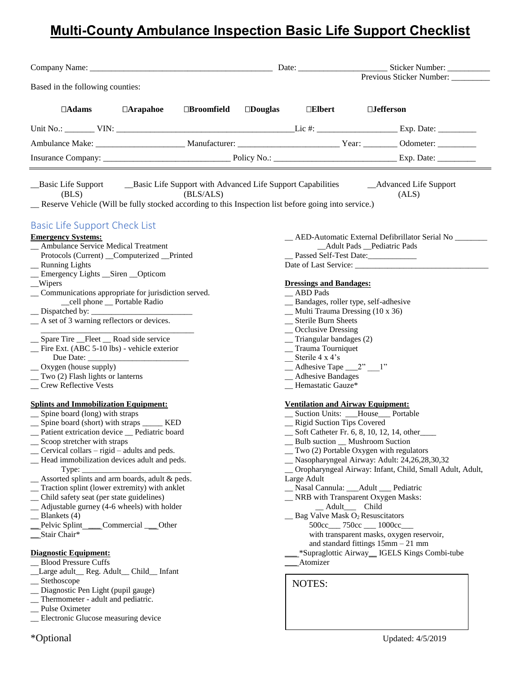# **Multi-County Ambulance Inspection Basic Life Support Checklist**

|                                                                                                                                                                                                                                                                                                                                                                                                                                                                                                                                                                                                                                                                                                                                                                                                                                                                                                                                                                                                                                                                                                                                                                                                                                                                                                                                                                                                                |                      |                   |                                                                                                                                                                                                                                                                                                                                                                                                                                                                                                                                                      | Previous Sticker Number: _________                                                                                                                                                                                                                                                                                                                                                                                                                                                                                                                                                                                                                                            |
|----------------------------------------------------------------------------------------------------------------------------------------------------------------------------------------------------------------------------------------------------------------------------------------------------------------------------------------------------------------------------------------------------------------------------------------------------------------------------------------------------------------------------------------------------------------------------------------------------------------------------------------------------------------------------------------------------------------------------------------------------------------------------------------------------------------------------------------------------------------------------------------------------------------------------------------------------------------------------------------------------------------------------------------------------------------------------------------------------------------------------------------------------------------------------------------------------------------------------------------------------------------------------------------------------------------------------------------------------------------------------------------------------------------|----------------------|-------------------|------------------------------------------------------------------------------------------------------------------------------------------------------------------------------------------------------------------------------------------------------------------------------------------------------------------------------------------------------------------------------------------------------------------------------------------------------------------------------------------------------------------------------------------------------|-------------------------------------------------------------------------------------------------------------------------------------------------------------------------------------------------------------------------------------------------------------------------------------------------------------------------------------------------------------------------------------------------------------------------------------------------------------------------------------------------------------------------------------------------------------------------------------------------------------------------------------------------------------------------------|
| Based in the following counties:                                                                                                                                                                                                                                                                                                                                                                                                                                                                                                                                                                                                                                                                                                                                                                                                                                                                                                                                                                                                                                                                                                                                                                                                                                                                                                                                                                               |                      |                   |                                                                                                                                                                                                                                                                                                                                                                                                                                                                                                                                                      |                                                                                                                                                                                                                                                                                                                                                                                                                                                                                                                                                                                                                                                                               |
| $\Box$ Arapahoe<br>$\Box$ Adams                                                                                                                                                                                                                                                                                                                                                                                                                                                                                                                                                                                                                                                                                                                                                                                                                                                                                                                                                                                                                                                                                                                                                                                                                                                                                                                                                                                | $\square$ Broomfield | $\square$ Douglas | $\Box$ Elbert                                                                                                                                                                                                                                                                                                                                                                                                                                                                                                                                        | $\Box$ Jefferson                                                                                                                                                                                                                                                                                                                                                                                                                                                                                                                                                                                                                                                              |
|                                                                                                                                                                                                                                                                                                                                                                                                                                                                                                                                                                                                                                                                                                                                                                                                                                                                                                                                                                                                                                                                                                                                                                                                                                                                                                                                                                                                                |                      |                   |                                                                                                                                                                                                                                                                                                                                                                                                                                                                                                                                                      |                                                                                                                                                                                                                                                                                                                                                                                                                                                                                                                                                                                                                                                                               |
|                                                                                                                                                                                                                                                                                                                                                                                                                                                                                                                                                                                                                                                                                                                                                                                                                                                                                                                                                                                                                                                                                                                                                                                                                                                                                                                                                                                                                |                      |                   |                                                                                                                                                                                                                                                                                                                                                                                                                                                                                                                                                      |                                                                                                                                                                                                                                                                                                                                                                                                                                                                                                                                                                                                                                                                               |
|                                                                                                                                                                                                                                                                                                                                                                                                                                                                                                                                                                                                                                                                                                                                                                                                                                                                                                                                                                                                                                                                                                                                                                                                                                                                                                                                                                                                                |                      |                   |                                                                                                                                                                                                                                                                                                                                                                                                                                                                                                                                                      |                                                                                                                                                                                                                                                                                                                                                                                                                                                                                                                                                                                                                                                                               |
| Basic Life Support Basic Life Support with Advanced Life Support Capabilities Advanced Life Support<br>(BLS)<br>_Reserve Vehicle (Will be fully stocked according to this Inspection list before going into service.)                                                                                                                                                                                                                                                                                                                                                                                                                                                                                                                                                                                                                                                                                                                                                                                                                                                                                                                                                                                                                                                                                                                                                                                          | (BLS/ALS)            |                   |                                                                                                                                                                                                                                                                                                                                                                                                                                                                                                                                                      | (ALS)                                                                                                                                                                                                                                                                                                                                                                                                                                                                                                                                                                                                                                                                         |
| <b>Basic Life Support Check List</b><br><b>Emergency Systems:</b><br>_ Ambulance Service Medical Treatment<br>Protocols (Current) _Computerized _Printed<br>_ Running Lights<br>_Emergency Lights _Siren _Opticom<br>$\equiv$ Wipers<br>_ Communications appropriate for jurisdiction served.<br>_cell phone _ Portable Radio<br>$\Box$ Dispatched by: $\Box$<br>_A set of 3 warning reflectors or devices.<br>__ Spare Tire __Fleet __ Road side service<br>_Fire Ext. (ABC 5-10 lbs) - vehicle exterior<br>_ Oxygen (house supply)<br>_ Two (2) Flash lights or lanterns<br><b>Crew Reflective Vests</b><br><b>Splints and Immobilization Equipment:</b><br>_ Spine board (long) with straps<br>__ Spine board (short) with straps _____ KED<br>_Patient extrication device _Pediatric board<br>Scoop stretcher with straps<br>Cervical collars – rigid – adults and peds.<br>_ Head immobilization devices adult and peds.<br>Type:<br>Assorted splints and arm boards, adult & peds.<br>Traction splint (lower extremity) with anklet<br>Child safety seat (per state guidelines)<br>Adjustable gurney (4-6 wheels) with holder<br>Blankets (4)<br>Commercial ___ Other<br>Pelvic Splint<br>_Stair Chair*<br><b>Diagnostic Equipment:</b><br><b>Blood Pressure Cuffs</b><br>Large adult_Reg. Adult_Child_Infant<br>Stethoscope<br>Diagnostic Pen Light (pupil gauge)<br>Thermometer - adult and pediatric. |                      |                   | <b>Dressings and Bandages:</b><br><b>ABD</b> Pads<br>_ Bandages, roller type, self-adhesive<br>_Multi Trauma Dressing (10 x 36)<br>__ Sterile Burn Sheets<br>$\_\_$ Occlusive Dressing<br>$\equiv$ Triangular bandages (2)<br>__ Trauma Tourniquet<br>$\equiv$ Sterile 4 x 4's<br>$\_\_$ Adhesive Tape $\_\_2$ " $\_\_1$ "<br>_ Adhesive Bandages<br>Hemastatic Gauze*<br><b>Ventilation and Airway Equipment:</b><br>_ Rigid Suction Tips Covered<br>Large Adult<br>_Adult__ Child<br>$\_\_\$ Bag Valve Mask O2 Resuscitators<br>Atomizer<br>NOTES: | __ AED-Automatic External Defibrillator Serial No ______<br>_Adult Pads _Pediatric Pads<br>__ Passed Self-Test Date:______________<br>__ Suction Units: __House__ Portable<br>_ Soft Catheter Fr. 6, 8, 10, 12, 14, other<br>Bulb suction __ Mushroom Suction<br>_ Two (2) Portable Oxygen with regulators<br>_ Nasopharyngeal Airway: Adult: 24,26,28,30,32<br>_ Oropharyngeal Airway: Infant, Child, Small Adult, Adult,<br>_Nasal Cannula: __Adult __ Pediatric<br>_ NRB with Transparent Oxygen Masks:<br>500cc___ 750cc ___ 1000cc___<br>with transparent masks, oxygen reservoir,<br>and standard fittings $15mm - 21mm$<br>*Supraglottic Airway_IGELS Kings Combi-tube |